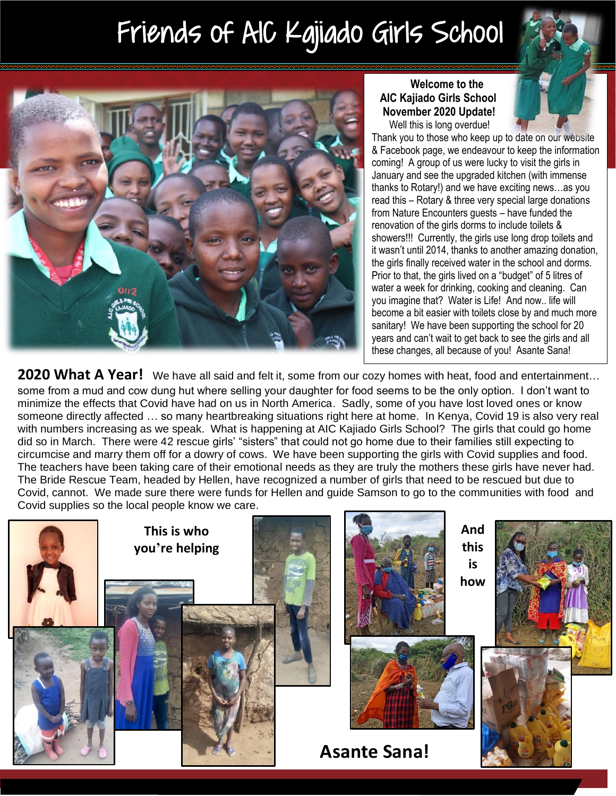# Friends of AIC Kajiado Girls School



### **Welcome to the AIC Kajiado Girls School November 2020 Update!** Well this is long overdue!

Thank you to those who keep up to date on our website & Facebook page, we endeavour to keep the information coming! A group of us were lucky to visit the girls in January and see the upgraded kitchen (with immense thanks to Rotary!) and we have exciting news…as you read this – Rotary & three very special large donations from Nature Encounters guests – have funded the renovation of the girls dorms to include toilets & showers!!! Currently, the girls use long drop toilets and it wasn't until 2014, thanks to another amazing donation, the girls finally received water in the school and dorms. Prior to that, the girls lived on a "budget" of 5 litres of water a week for drinking, cooking and cleaning. Can you imagine that? Water is Life! And now.. life will become a bit easier with toilets close by and much more sanitary! We have been supporting the school for 20 years and can't wait to get back to see the girls and all these changes, all because of you! Asante Sana!

**2020 What A Year!** We have all said and felt it, some from our cozy homes with heat, food and entertainment… some from a mud and cow dung hut where selling your daughter for food seems to be the only option. I don't want to minimize the effects that Covid have had on us in North America. Sadly, some of you have lost loved ones or know someone directly affected … so many heartbreaking situations right here at home. In Kenya, Covid 19 is also very real with numbers increasing as we speak. What is happening at AIC Kajiado Girls School? The girls that could go home did so in March. There were 42 rescue girls' "sisters" that could not go home due to their families still expecting to circumcise and marry them off for a dowry of cows. We have been supporting the girls with Covid supplies and food. The teachers have been taking care of their emotional needs as they are truly the mothers these girls have never had. The Bride Rescue Team, headed by Hellen, have recognized a number of girls that need to be rescued but due to Covid, cannot. We made sure there were funds for Hellen and guide Samson to go to the communities with food and Covid supplies so the local people know we care.